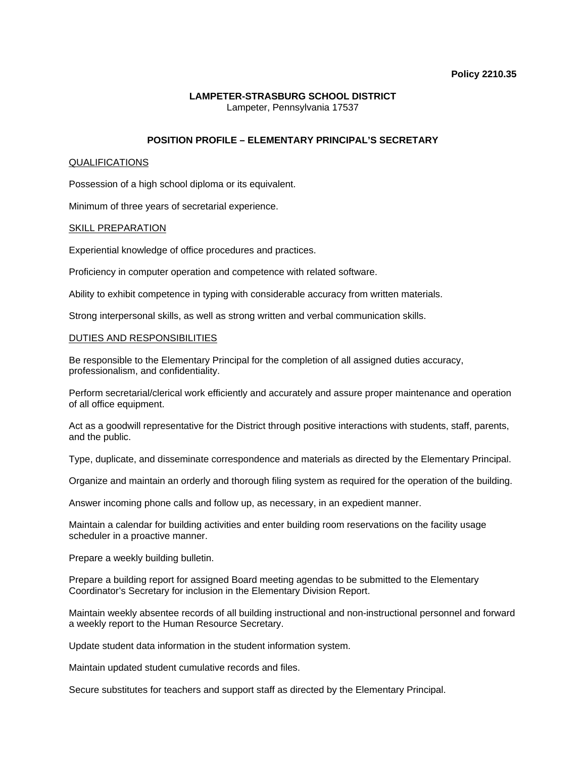#### **Policy 2210.35**

## **LAMPETER-STRASBURG SCHOOL DISTRICT**  Lampeter, Pennsylvania 17537

# **POSITION PROFILE – ELEMENTARY PRINCIPAL'S SECRETARY**

### QUALIFICATIONS

Possession of a high school diploma or its equivalent.

Minimum of three years of secretarial experience.

### SKILL PREPARATION

Experiential knowledge of office procedures and practices.

Proficiency in computer operation and competence with related software.

Ability to exhibit competence in typing with considerable accuracy from written materials.

Strong interpersonal skills, as well as strong written and verbal communication skills.

#### DUTIES AND RESPONSIBILITIES

Be responsible to the Elementary Principal for the completion of all assigned duties accuracy, professionalism, and confidentiality.

Perform secretarial/clerical work efficiently and accurately and assure proper maintenance and operation of all office equipment.

Act as a goodwill representative for the District through positive interactions with students, staff, parents, and the public.

Type, duplicate, and disseminate correspondence and materials as directed by the Elementary Principal.

Organize and maintain an orderly and thorough filing system as required for the operation of the building.

Answer incoming phone calls and follow up, as necessary, in an expedient manner.

Maintain a calendar for building activities and enter building room reservations on the facility usage scheduler in a proactive manner.

Prepare a weekly building bulletin.

Prepare a building report for assigned Board meeting agendas to be submitted to the Elementary Coordinator's Secretary for inclusion in the Elementary Division Report.

Maintain weekly absentee records of all building instructional and non-instructional personnel and forward a weekly report to the Human Resource Secretary.

Update student data information in the student information system.

Maintain updated student cumulative records and files.

Secure substitutes for teachers and support staff as directed by the Elementary Principal.